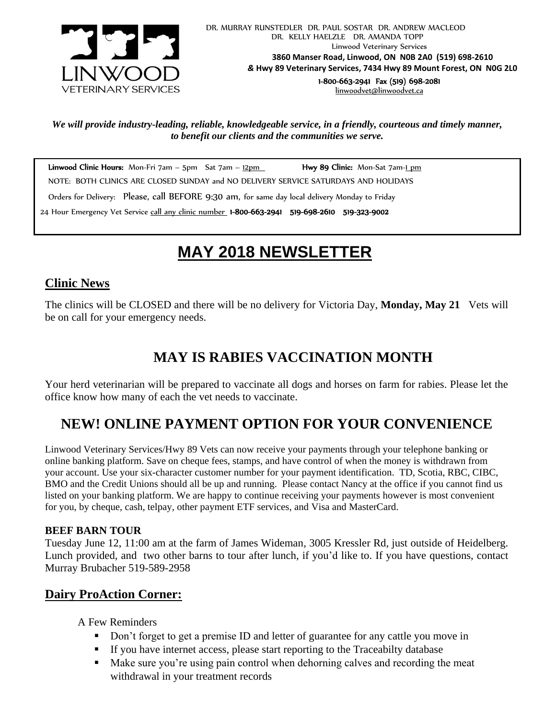

*We will provide industry-leading, reliable, knowledgeable service, in a friendly, courteous and timely manner, to benefit our clients and the communities we serve.*

Linwood Clinic Hours: Mon-Fri  $7am - 5pm$  Sat  $7am - 12pm$  Hwy 89 Clinic: Mon-Sat  $7am - 1pm$  NOTE: BOTH CLINICS ARE CLOSED SUNDAY and NO DELIVERY SERVICE SATURDAYS AND HOLIDAYS Orders for Delivery: Please, call BEFORE 9:30 am, for same day local delivery Monday to Friday 24 Hour Emergency Vet Service call any clinic number 1-800-663-2941 519-698-2610 519-323-9002

# *!* **MAY 2018 NEWSLETTER**

## **Clinic News**

The clinics will be CLOSED and there will be no delivery for Victoria Day, **Monday, May 21** Vets will be on call for your emergency needs.

# **MAY IS RABIES VACCINATION MONTH**

Your herd veterinarian will be prepared to vaccinate all dogs and horses on farm for rabies. Please let the office know how many of each the vet needs to vaccinate.

# **NEW! ONLINE PAYMENT OPTION FOR YOUR CONVENIENCE**

Linwood Veterinary Services/Hwy 89 Vets can now receive your payments through your telephone banking or online banking platform. Save on cheque fees, stamps, and have control of when the money is withdrawn from your account. Use your six-character customer number for your payment identification. TD, Scotia, RBC, CIBC, BMO and the Credit Unions should all be up and running. Please contact Nancy at the office if you cannot find us listed on your banking platform. We are happy to continue receiving your payments however is most convenient for you, by cheque, cash, telpay, other payment ETF services, and Visa and MasterCard.

#### **BEEF BARN TOUR**

Tuesday June 12, 11:00 am at the farm of James Wideman, 3005 Kressler Rd, just outside of Heidelberg. Lunch provided, and two other barns to tour after lunch, if you'd like to. If you have questions, contact Murray Brubacher 519-589-2958

### **Dairy ProAction Corner:**

A Few Reminders

- Don't forget to get a premise ID and letter of guarantee for any cattle you move in
- If you have internet access, please start reporting to the Traceabilty database
- Make sure you're using pain control when dehorning calves and recording the meat withdrawal in your treatment records